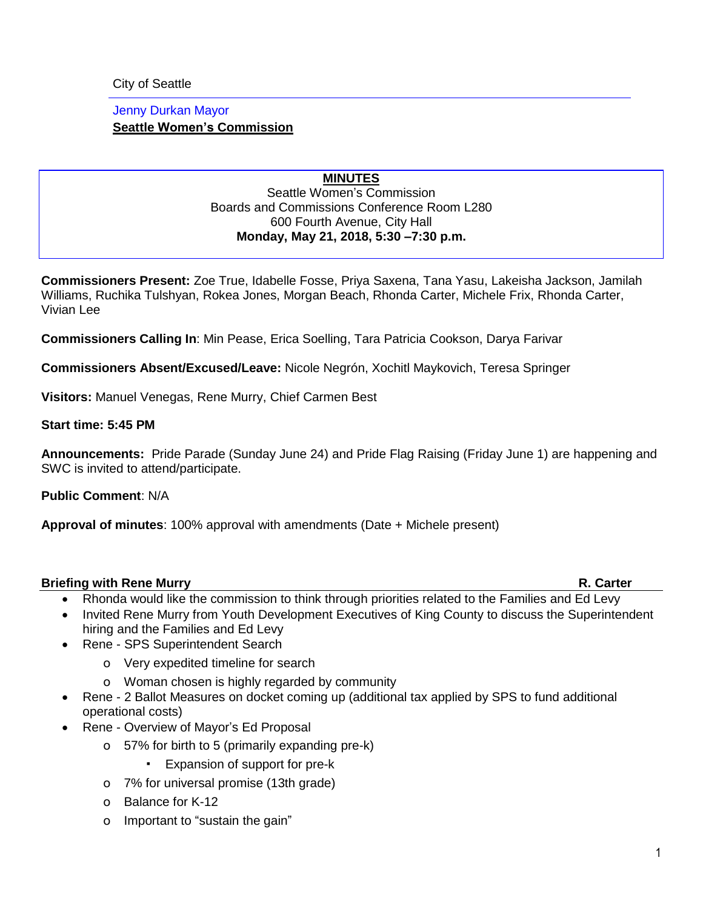City of Seattle

# Jenny Durkan Mayor **Seattle Women's Commission**

### **MINUTES** Seattle Women's Commission Boards and Commissions Conference Room L280 600 Fourth Avenue, City Hall **Monday, May 21, 2018, 5:30 –7:30 p.m.**

**Commissioners Present:** Zoe True, Idabelle Fosse, Priya Saxena, Tana Yasu, Lakeisha Jackson, Jamilah Williams, Ruchika Tulshyan, Rokea Jones, Morgan Beach, Rhonda Carter, Michele Frix, Rhonda Carter, Vivian Lee

**Commissioners Calling In**: Min Pease, Erica Soelling, Tara Patricia Cookson, Darya Farivar

**Commissioners Absent/Excused/Leave:** Nicole Negrón, Xochitl Maykovich, Teresa Springer

**Visitors:** Manuel Venegas, Rene Murry, Chief Carmen Best

### **Start time: 5:45 PM**

**Announcements:** Pride Parade (Sunday June 24) and Pride Flag Raising (Friday June 1) are happening and SWC is invited to attend/participate.

**Public Comment**: N/A

**Approval of minutes**: 100% approval with amendments (Date + Michele present)

# **Briefing with Rene Murry R. Carter**

- Rhonda would like the commission to think through priorities related to the Families and Ed Levy
- Invited Rene Murry from Youth Development Executives of King County to discuss the Superintendent hiring and the Families and Ed Levy
- Rene SPS Superintendent Search
	- o Very expedited timeline for search
	- o Woman chosen is highly regarded by community
- Rene 2 Ballot Measures on docket coming up (additional tax applied by SPS to fund additional operational costs)
- Rene Overview of Mayor's Ed Proposal
	- o 57% for birth to 5 (primarily expanding pre-k)
		- Expansion of support for pre-k
	- o 7% for universal promise (13th grade)
	- o Balance for K-12
	- o Important to "sustain the gain"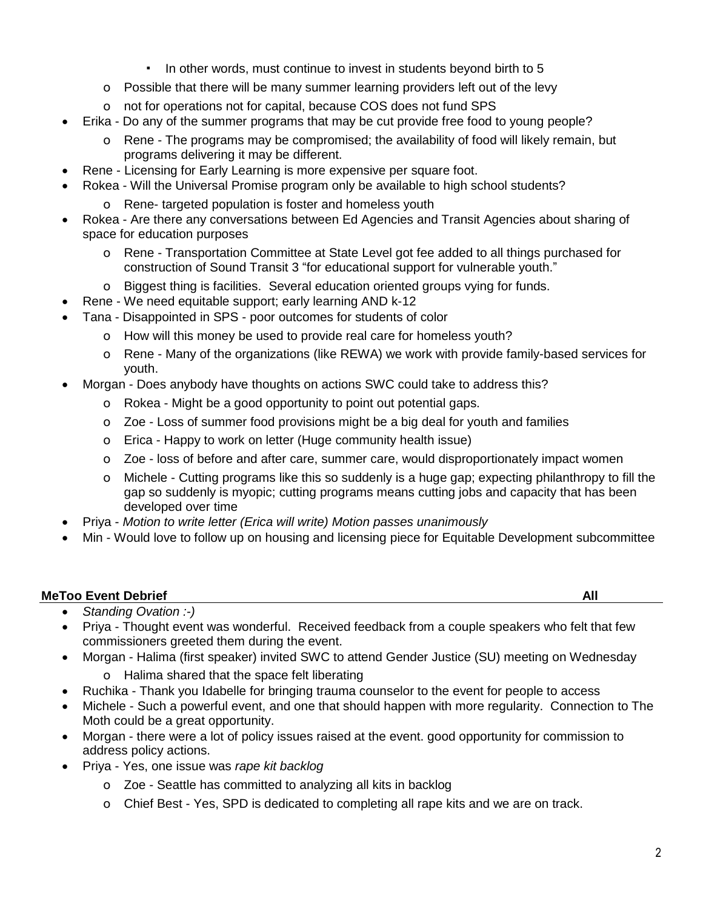- In other words, must continue to invest in students beyond birth to 5
- o Possible that there will be many summer learning providers left out of the levy
- o not for operations not for capital, because COS does not fund SPS
- Erika Do any of the summer programs that may be cut provide free food to young people?
	- o Rene The programs may be compromised; the availability of food will likely remain, but programs delivering it may be different.
- Rene Licensing for Early Learning is more expensive per square foot.
	- Rokea Will the Universal Promise program only be available to high school students?
		- o Rene- targeted population is foster and homeless youth
- Rokea Are there any conversations between Ed Agencies and Transit Agencies about sharing of space for education purposes
	- o Rene Transportation Committee at State Level got fee added to all things purchased for construction of Sound Transit 3 "for educational support for vulnerable youth."
	- o Biggest thing is facilities. Several education oriented groups vying for funds.
- Rene We need equitable support; early learning AND k-12
	- Tana Disappointed in SPS poor outcomes for students of color
		- o How will this money be used to provide real care for homeless youth?
		- o Rene Many of the organizations (like REWA) we work with provide family-based services for youth.
- Morgan Does anybody have thoughts on actions SWC could take to address this?
	- o Rokea Might be a good opportunity to point out potential gaps.
	- o Zoe Loss of summer food provisions might be a big deal for youth and families
	- o Erica Happy to work on letter (Huge community health issue)
	- o Zoe loss of before and after care, summer care, would disproportionately impact women
	- o Michele Cutting programs like this so suddenly is a huge gap; expecting philanthropy to fill the gap so suddenly is myopic; cutting programs means cutting jobs and capacity that has been developed over time
- Priya *Motion to write letter (Erica will write) Motion passes unanimously*
- Min Would love to follow up on housing and licensing piece for Equitable Development subcommittee

# **MeToo Event Debrief All**

- *Standing Ovation :-)*
- Priya Thought event was wonderful. Received feedback from a couple speakers who felt that few commissioners greeted them during the event.
- Morgan Halima (first speaker) invited SWC to attend Gender Justice (SU) meeting on Wednesday
	- o Halima shared that the space felt liberating
- Ruchika Thank you Idabelle for bringing trauma counselor to the event for people to access
- Michele Such a powerful event, and one that should happen with more regularity. Connection to The Moth could be a great opportunity.
- Morgan there were a lot of policy issues raised at the event. good opportunity for commission to address policy actions.
- Priya Yes, one issue was *rape kit backlog*
	- o Zoe Seattle has committed to analyzing all kits in backlog
	- o Chief Best Yes, SPD is dedicated to completing all rape kits and we are on track.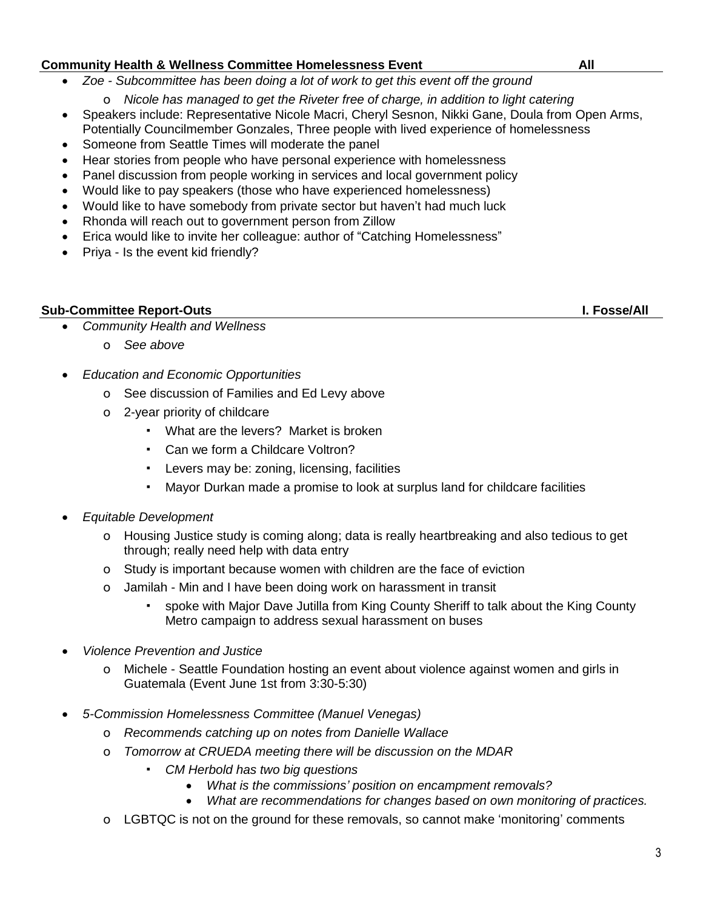### **Community Health & Wellness Committee Homelessness Event All**

- *Zoe - Subcommittee has been doing a lot of work to get this event off the ground*
	- o *Nicole has managed to get the Riveter free of charge, in addition to light catering*
- Speakers include: Representative Nicole Macri, Cheryl Sesnon, Nikki Gane, Doula from Open Arms, Potentially Councilmember Gonzales, Three people with lived experience of homelessness
- Someone from Seattle Times will moderate the panel
- Hear stories from people who have personal experience with homelessness
- Panel discussion from people working in services and local government policy
- Would like to pay speakers (those who have experienced homelessness)
- Would like to have somebody from private sector but haven't had much luck
- Rhonda will reach out to government person from Zillow
- Erica would like to invite her colleague: author of "Catching Homelessness"
- Priya Is the event kid friendly?

# **Sub-Committee Report-Outs I. Fosse/All**

- *Community Health and Wellness*
	- o *See above*
- *Education and Economic Opportunities*
	- o See discussion of Families and Ed Levy above
	- o 2-year priority of childcare
		- What are the levers? Market is broken
		- Can we form a Childcare Voltron?
		- Levers may be: zoning, licensing, facilities
		- Mayor Durkan made a promise to look at surplus land for childcare facilities
- *Equitable Development*
	- o Housing Justice study is coming along; data is really heartbreaking and also tedious to get through; really need help with data entry
	- o Study is important because women with children are the face of eviction
	- o Jamilah Min and I have been doing work on harassment in transit
		- spoke with Major Dave Jutilla from King County Sheriff to talk about the King County Metro campaign to address sexual harassment on buses
- *Violence Prevention and Justice*
	- o Michele Seattle Foundation hosting an event about violence against women and girls in Guatemala (Event June 1st from 3:30-5:30)
- *5-Commission Homelessness Committee (Manuel Venegas)*
	- o *Recommends catching up on notes from Danielle Wallace*
	- o *Tomorrow at CRUEDA meeting there will be discussion on the MDAR*
		- *CM Herbold has two big questions*
			- *What is the commissions' position on encampment removals?*
			- *What are recommendations for changes based on own monitoring of practices.*
	- o LGBTQC is not on the ground for these removals, so cannot make 'monitoring' comments